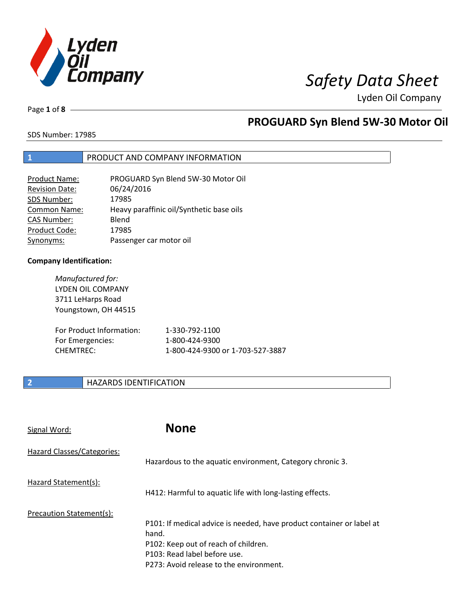

Lyden Oil Company

Page **1** of **8**

### **PROGUARD Syn Blend 5W-30 Motor Oil**

SDS Number: 17985

#### **1** PRODUCT AND COMPANY INFORMATION

| <b>Product Name:</b>  | PROGUARD Syn Blend 5W-30 Motor Oil       |
|-----------------------|------------------------------------------|
| <b>Revision Date:</b> | 06/24/2016                               |
| SDS Number:           | 17985                                    |
| <b>Common Name:</b>   | Heavy paraffinic oil/Synthetic base oils |
| <b>CAS Number:</b>    | Blend                                    |
| Product Code:         | 17985                                    |
| Synonyms:             | Passenger car motor oil                  |

#### **Company Identification:**

*Manufactured for:*  LYDEN OIL COMPANY 3711 LeHarps Road Youngstown, OH 44515

| For Product Information: | 1-330-792-1100                   |
|--------------------------|----------------------------------|
| For Emergencies:         | 1-800-424-9300                   |
| CHEMTREC:                | 1-800-424-9300 or 1-703-527-3887 |

#### **2 HAZARDS IDENTIFICATION**

| Signal Word:               | <b>None</b>                                                                                                                                                                                       |
|----------------------------|---------------------------------------------------------------------------------------------------------------------------------------------------------------------------------------------------|
| Hazard Classes/Categories: | Hazardous to the aquatic environment, Category chronic 3.                                                                                                                                         |
| Hazard Statement(s):       | H412: Harmful to aquatic life with long-lasting effects.                                                                                                                                          |
| Precaution Statement(s):   | P101: If medical advice is needed, have product container or label at<br>hand.<br>P102: Keep out of reach of children.<br>P103: Read label before use.<br>P273: Avoid release to the environment. |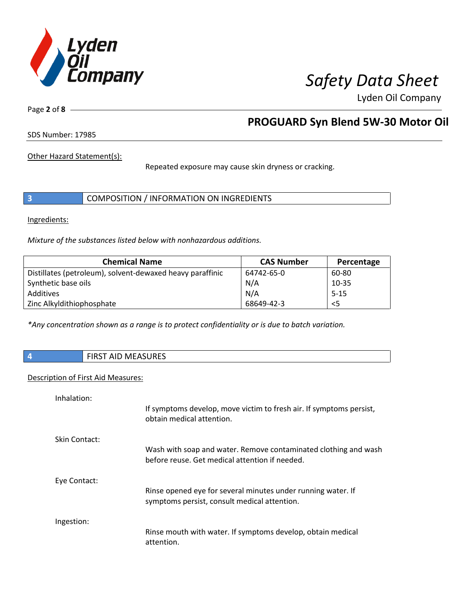

Lyden Oil Company

Page **2** of **8**

#### **PROGUARD Syn Blend 5W-30 Motor Oil**

SDS Number: 17985

Other Hazard Statement(s):

Repeated exposure may cause skin dryness or cracking.

|  | COMPOSITION / INFORMATION ON INGREDIENTS |
|--|------------------------------------------|
|--|------------------------------------------|

Ingredients:

*Mixture of the substances listed below with nonhazardous additions.* 

| <b>Chemical Name</b>                                      | <b>CAS Number</b> | Percentage |
|-----------------------------------------------------------|-------------------|------------|
| Distillates (petroleum), solvent-dewaxed heavy paraffinic | 64742-65-0        | 60-80      |
| Synthetic base oils                                       | N/A               | $10 - 35$  |
| Additives                                                 | N/A               | $5 - 15$   |
| Zinc Alkyldithiophosphate                                 | 68649-42-3        | $<$ 5      |

*\*Any concentration shown as a range is to protect confidentiality or is due to batch variation.*

**4** FIRST AID MEASURES

#### Description of First Aid Measures:

| Inhalation:   |                                                                                                                   |
|---------------|-------------------------------------------------------------------------------------------------------------------|
|               | If symptoms develop, move victim to fresh air. If symptoms persist,<br>obtain medical attention.                  |
| Skin Contact: |                                                                                                                   |
|               | Wash with soap and water. Remove contaminated clothing and wash<br>before reuse. Get medical attention if needed. |
| Eye Contact:  |                                                                                                                   |
|               | Rinse opened eye for several minutes under running water. If<br>symptoms persist, consult medical attention.      |
| Ingestion:    |                                                                                                                   |
|               | Rinse mouth with water. If symptoms develop, obtain medical<br>attention.                                         |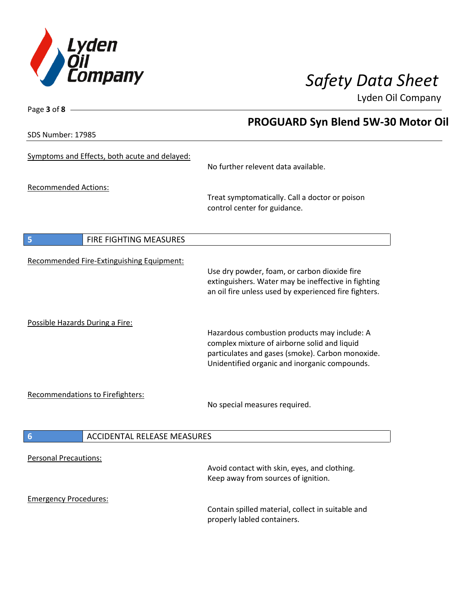

Lyden Oil Company

SDS Number: 17985

Page **3** of **8**

### **PROGUARD Syn Blend 5W-30 Motor Oil**

| Symptoms and Effects, both acute and delayed:         | No further relevent data available.                                                                                                                                                               |
|-------------------------------------------------------|---------------------------------------------------------------------------------------------------------------------------------------------------------------------------------------------------|
| <b>Recommended Actions:</b>                           | Treat symptomatically. Call a doctor or poison<br>control center for guidance.                                                                                                                    |
| 5<br>FIRE FIGHTING MEASURES                           |                                                                                                                                                                                                   |
| Recommended Fire-Extinguishing Equipment:             | Use dry powder, foam, or carbon dioxide fire<br>extinguishers. Water may be ineffective in fighting<br>an oil fire unless used by experienced fire fighters.                                      |
| Possible Hazards During a Fire:                       | Hazardous combustion products may include: A<br>complex mixture of airborne solid and liquid<br>particulates and gases (smoke). Carbon monoxide.<br>Unidentified organic and inorganic compounds. |
| <b>Recommendations to Firefighters:</b>               | No special measures required.                                                                                                                                                                     |
| $6\phantom{1}6$<br><b>ACCIDENTAL RELEASE MEASURES</b> |                                                                                                                                                                                                   |
| <b>Personal Precautions:</b>                          | Avoid contact with skin, eyes, and clothing.<br>Keep away from sources of ignition.                                                                                                               |
| <b>Emergency Procedures:</b>                          | Contain spilled material, collect in suitable and<br>properly labled containers.                                                                                                                  |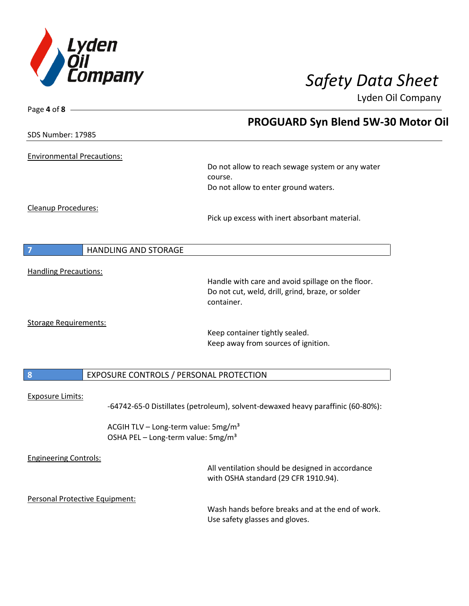

Page **4** of **8**

# *Safety Data Sheet*

Lyden Oil Company

|                                                                                                   | <b>PROGUARD Syn Blend 5W-30 Motor Oil</b>                                          |
|---------------------------------------------------------------------------------------------------|------------------------------------------------------------------------------------|
| SDS Number: 17985                                                                                 |                                                                                    |
| <b>Environmental Precautions:</b>                                                                 |                                                                                    |
|                                                                                                   | Do not allow to reach sewage system or any water<br>course.                        |
|                                                                                                   | Do not allow to enter ground waters.                                               |
| <b>Cleanup Procedures:</b>                                                                        | Pick up excess with inert absorbant material.                                      |
| <b>HANDLING AND STORAGE</b>                                                                       |                                                                                    |
| <b>Handling Precautions:</b>                                                                      |                                                                                    |
|                                                                                                   | Handle with care and avoid spillage on the floor.                                  |
|                                                                                                   | Do not cut, weld, drill, grind, braze, or solder<br>container.                     |
|                                                                                                   |                                                                                    |
| <b>Storage Requirements:</b>                                                                      | Keep container tightly sealed.                                                     |
|                                                                                                   | Keep away from sources of ignition.                                                |
|                                                                                                   |                                                                                    |
| 8<br>EXPOSURE CONTROLS / PERSONAL PROTECTION                                                      |                                                                                    |
| <b>Exposure Limits:</b>                                                                           | -64742-65-0 Distillates (petroleum), solvent-dewaxed heavy paraffinic (60-80%):    |
| ACGIH TLV - Long-term value: 5mg/m <sup>3</sup><br>OSHA PEL - Long-term value: 5mg/m <sup>3</sup> |                                                                                    |
| <b>Engineering Controls:</b>                                                                      |                                                                                    |
|                                                                                                   | All ventilation should be designed in accordance                                   |
|                                                                                                   | with OSHA standard (29 CFR 1910.94).                                               |
| Personal Protective Equipment:                                                                    |                                                                                    |
|                                                                                                   | Wash hands before breaks and at the end of work.<br>Use safety glasses and gloves. |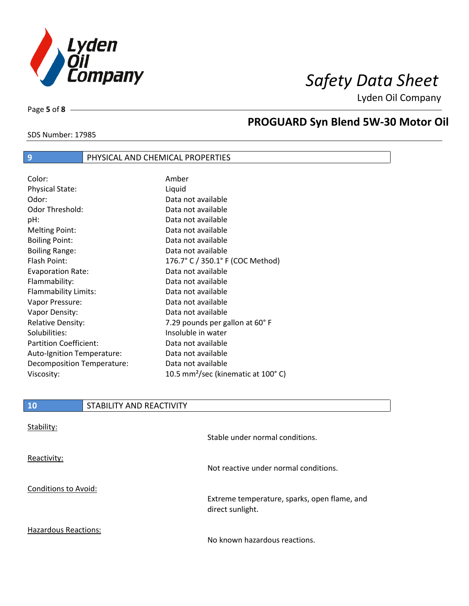

Lyden Oil Company

Page **5** of **8**

 $\overline{\phantom{a}}$ 

SDS Number: 17985

#### **PROGUARD Syn Blend 5W-30 Motor Oil**

#### **9** PHYSICAL AND CHEMICAL PROPERTIES

| Color:                        | Amber                                          |
|-------------------------------|------------------------------------------------|
| <b>Physical State:</b>        | Liquid                                         |
| Odor:                         | Data not available                             |
| <b>Odor Threshold:</b>        | Data not available                             |
| pH:                           | Data not available                             |
| <b>Melting Point:</b>         | Data not available                             |
| <b>Boiling Point:</b>         | Data not available                             |
| <b>Boiling Range:</b>         | Data not available                             |
| Flash Point:                  | 176.7° C / 350.1° F (COC Method)               |
| <b>Evaporation Rate:</b>      | Data not available                             |
| Flammability:                 | Data not available                             |
| Flammability Limits:          | Data not available                             |
| Vapor Pressure:               | Data not available                             |
| Vapor Density:                | Data not available                             |
| <b>Relative Density:</b>      | 7.29 pounds per gallon at 60°F                 |
| Solubilities:                 | Insoluble in water                             |
| <b>Partition Coefficient:</b> | Data not available                             |
| Auto-Ignition Temperature:    | Data not available                             |
| Decomposition Temperature:    | Data not available                             |
| Viscosity:                    | 10.5 mm <sup>2</sup> /sec (kinematic at 100°C) |

| <b>10</b>                   | STABILITY AND REACTIVITY |                                                                  |
|-----------------------------|--------------------------|------------------------------------------------------------------|
| Stability:                  |                          | Stable under normal conditions.                                  |
| Reactivity:                 |                          |                                                                  |
|                             |                          | Not reactive under normal conditions.                            |
| <b>Conditions to Avoid:</b> |                          |                                                                  |
|                             |                          | Extreme temperature, sparks, open flame, and<br>direct sunlight. |
| <b>Hazardous Reactions:</b> |                          |                                                                  |

No known hazardous reactions.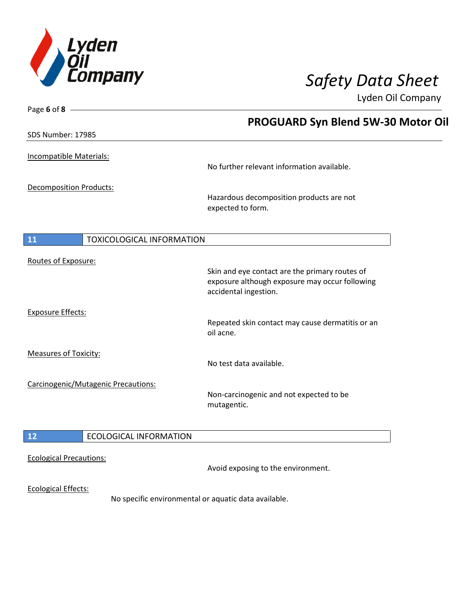

Page **6** of **8**

# *Safety Data Sheet*

Lyden Oil Company

|                                        | <b>PROGUARD Syn Blend 5W-30 Motor Oil</b>                                                                                 |
|----------------------------------------|---------------------------------------------------------------------------------------------------------------------------|
| SDS Number: 17985                      |                                                                                                                           |
| Incompatible Materials:                | No further relevant information available.                                                                                |
| <b>Decomposition Products:</b>         | Hazardous decomposition products are not<br>expected to form.                                                             |
| 11<br><b>TOXICOLOGICAL INFORMATION</b> |                                                                                                                           |
| Routes of Exposure:                    | Skin and eye contact are the primary routes of<br>exposure although exposure may occur following<br>accidental ingestion. |
| <b>Exposure Effects:</b>               | Repeated skin contact may cause dermatitis or an<br>oil acne.                                                             |
| <b>Measures of Toxicity:</b>           | No test data available.                                                                                                   |
| Carcinogenic/Mutagenic Precautions:    | Non-carcinogenic and not expected to be<br>mutagentic.                                                                    |
| $12$<br><b>ECOLOGICAL INFORMATION</b>  |                                                                                                                           |
| <b>Ecological Precautions:</b>         | Avoid exposing to the environment.                                                                                        |
| <b>Ecological Effects:</b>             | No specific environmental or aquatic data available.                                                                      |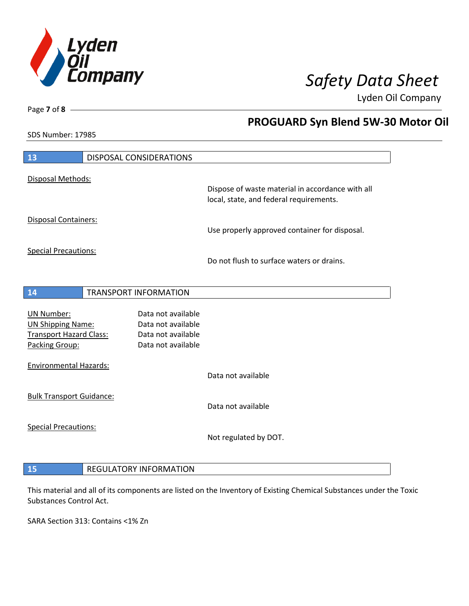

**PROGUARD Syn Blend 5W-30 Motor Oil** 

Lyden Oil Company

SDS Number: 17985

Page **7** of **8**

| 13                                                                              | DISPOSAL CONSIDERATIONS                                        |                                                                                             |
|---------------------------------------------------------------------------------|----------------------------------------------------------------|---------------------------------------------------------------------------------------------|
| Disposal Methods:                                                               |                                                                |                                                                                             |
|                                                                                 |                                                                | Dispose of waste material in accordance with all<br>local, state, and federal requirements. |
| Disposal Containers:                                                            |                                                                | Use properly approved container for disposal.                                               |
| <b>Special Precautions:</b>                                                     |                                                                | Do not flush to surface waters or drains.                                                   |
| 14                                                                              | <b>TRANSPORT INFORMATION</b>                                   |                                                                                             |
|                                                                                 |                                                                |                                                                                             |
| <b>UN Number:</b><br><b>UN Shipping Name:</b><br><b>Transport Hazard Class:</b> | Data not available<br>Data not available<br>Data not available |                                                                                             |
| Packing Group:                                                                  | Data not available                                             |                                                                                             |
| <b>Environmental Hazards:</b>                                                   |                                                                |                                                                                             |
|                                                                                 |                                                                | Data not available                                                                          |
| <b>Bulk Transport Guidance:</b>                                                 |                                                                | Data not available                                                                          |
| <b>Special Precautions:</b>                                                     |                                                                |                                                                                             |
|                                                                                 |                                                                | Not regulated by DOT.                                                                       |
|                                                                                 |                                                                |                                                                                             |
| 15                                                                              | <b>REGULATORY INFORMATION</b>                                  |                                                                                             |

### This material and all of its components are listed on the Inventory of Existing Chemical Substances under the Toxic

SARA Section 313: Contains <1% Zn

Substances Control Act.